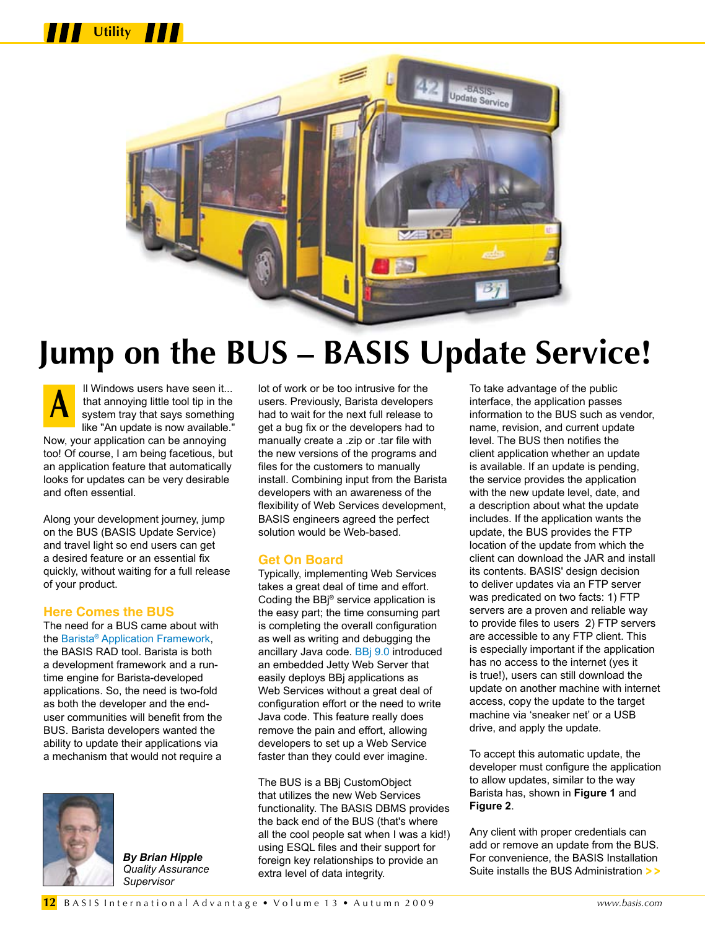



# **Jump on the BUS – BASIS Update Service!**

ll Windows users have seen it... that annoying little tool tip in the system tray that says something like "An update is now available." Now, your application can be annoying too! Of course, I am being facetious, but an application feature that automatically looks for updates can be very desirable and often essential. **A**

Along your development journey, jump on the BUS (BASIS Update Service) and travel light so end users can get a desired feature or an essential fix quickly, without waiting for a full release of your product.

#### **Here Comes the BUS**

The need for a BUS came about with th[e Barista® Application Framework,](http://www.basis.com/products/devtools/barista/index.html)  the BASIS RAD tool. Barista is both a development framework and a runtime engine for Barista-developed applications. So, the need is two-fold as both the developer and the enduser communities will benefit from the BUS. Barista developers wanted the ability to update their applications via a mechanism that would not require a



*By Brian Hipple Quality Assurance Supervisor*

lot of work or be too intrusive for the users. Previously, Barista developers had to wait for the next full release to get a bug fix or the developers had to manually create a .zip or .tar file with the new versions of the programs and files for the customers to manually install. Combining input from the Barista developers with an awareness of the flexibility of Web Services development, BASIS engineers agreed the perfect solution would be Web-based.

### **Get On Board**

Typically, implementing Web Services takes a great deal of time and effort. Coding the BBj® service application is the easy part; the time consuming part is completing the overall configuration as well as writing and debugging the ancillary Java code[. BBj 9.0 i](http://www.basis.com/announcements/mc-2009-002-bbj-barista90.pdf)ntroduced an embedded Jetty Web Server that easily deploys BBj applications as Web Services without a great deal of configuration effort or the need to write Java code. This feature really does remove the pain and effort, allowing developers to set up a Web Service faster than they could ever imagine.

The BUS is a BBj CustomObject that utilizes the new Web Services functionality. The BASIS DBMS provides the back end of the BUS (that's where all the cool people sat when I was a kid!) using ESQL files and their support for foreign key relationships to provide an extra level of data integrity.

To take advantage of the public interface, the application passes information to the BUS such as vendor, name, revision, and current update level. The BUS then notifies the client application whether an update is available. If an update is pending, the service provides the application with the new update level, date, and a description about what the update includes. If the application wants the update, the BUS provides the FTP location of the update from which the client can download the JAR and install its contents. BASIS' design decision to deliver updates via an FTP server was predicated on two facts: 1) FTP servers are a proven and reliable way to provide files to users 2) FTP servers are accessible to any FTP client. This is especially important if the application has no access to the internet (yes it is true!), users can still download the update on another machine with internet access, copy the update to the target machine via 'sneaker net' or a USB drive, and apply the update.

To accept this automatic update, the developer must configure the application to allow updates, similar to the way Barista has, shown in **Figure 1** and **Figure 2**.

Any client with proper credentials can add or remove an update from the BUS. For convenience, the BASIS Installation Suite installs the BUS Administration **> >**